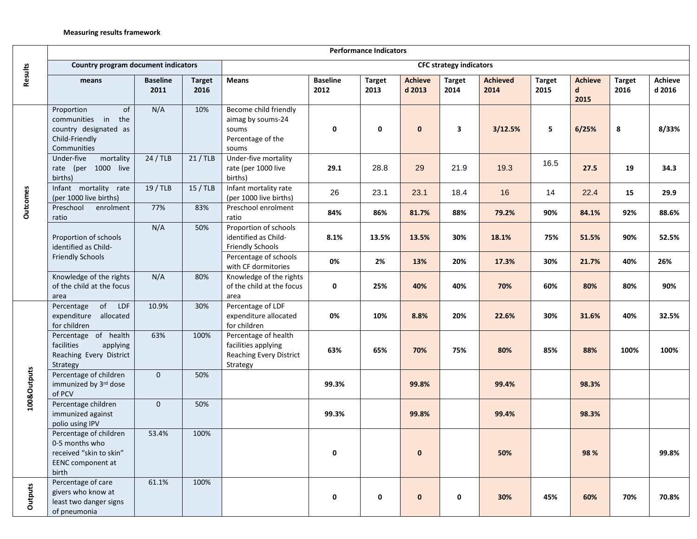## **Measuring results framework**

| <b>Results</b>  | <b>Performance Indicators</b>                                                                       |                         |                       |                                                                                           |                         |                       |                          |                       |                         |                       |                                       |                       |                          |
|-----------------|-----------------------------------------------------------------------------------------------------|-------------------------|-----------------------|-------------------------------------------------------------------------------------------|-------------------------|-----------------------|--------------------------|-----------------------|-------------------------|-----------------------|---------------------------------------|-----------------------|--------------------------|
|                 | <b>Country program document indicators</b>                                                          |                         |                       | <b>CFC strategy indicators</b>                                                            |                         |                       |                          |                       |                         |                       |                                       |                       |                          |
|                 | means                                                                                               | <b>Baseline</b><br>2011 | <b>Target</b><br>2016 | <b>Means</b>                                                                              | <b>Baseline</b><br>2012 | <b>Target</b><br>2013 | <b>Achieve</b><br>d 2013 | <b>Target</b><br>2014 | <b>Achieved</b><br>2014 | <b>Target</b><br>2015 | <b>Achieve</b><br>$\mathbf d$<br>2015 | <b>Target</b><br>2016 | <b>Achieve</b><br>d 2016 |
| <b>Outcomes</b> | of<br>Proportion<br>communities in<br>the<br>country designated as<br>Child-Friendly<br>Communities | N/A                     | 10%                   | Become child friendly<br>aimag by soums-24<br>soums<br>Percentage of the<br>soums         | $\pmb{0}$               | 0                     | $\mathbf 0$              | 3                     | 3/12.5%                 | 5                     | 6/25%                                 | 8                     | 8/33%                    |
|                 | Under-five<br>mortality<br>rate (per 1000 live<br>births)                                           | 24/TLB                  | 21/TLB                | Under-five mortality<br>rate (per 1000 live<br>births)                                    | 29.1                    | 28.8                  | 29                       | 21.9                  | 19.3                    | 16.5                  | 27.5                                  | 19                    | 34.3                     |
|                 | Infant mortality rate<br>(per 1000 live births)                                                     | 19 / TLB                | 15/TLB                | Infant mortality rate<br>(per 1000 live births)                                           | 26                      | 23.1                  | 23.1                     | 18.4                  | 16                      | 14                    | 22.4                                  | 15                    | 29.9                     |
|                 | Preschool<br>enrolment<br>ratio                                                                     | 77%                     | 83%                   | Preschool enrolment<br>ratio                                                              | 84%                     | 86%                   | 81.7%                    | 88%                   | 79.2%                   | 90%                   | 84.1%                                 | 92%                   | 88.6%                    |
|                 | Proportion of schools<br>identified as Child-                                                       | N/A                     | 50%                   | Proportion of schools<br>identified as Child-<br><b>Friendly Schools</b>                  | 8.1%                    | 13.5%                 | 13.5%                    | 30%                   | 18.1%                   | 75%                   | 51.5%                                 | 90%                   | 52.5%                    |
|                 | <b>Friendly Schools</b>                                                                             |                         |                       | Percentage of schools<br>with CF dormitories                                              | 0%                      | 2%                    | 13%                      | 20%                   | 17.3%                   | 30%                   | 21.7%                                 | 40%                   | 26%                      |
|                 | Knowledge of the rights<br>of the child at the focus<br>area                                        | N/A                     | 80%                   | Knowledge of the rights<br>of the child at the focus<br>area                              | 0                       | 25%                   | 40%                      | 40%                   | 70%                     | 60%                   | 80%                                   | 80%                   | 90%                      |
| 100&Outputs     | of LDF<br>Percentage<br>expenditure<br>allocated<br>for children                                    | 10.9%                   | 30%                   | Percentage of LDF<br>expenditure allocated<br>for children                                | 0%                      | 10%                   | 8.8%                     | 20%                   | 22.6%                   | 30%                   | 31.6%                                 | 40%                   | 32.5%                    |
|                 | Percentage of health<br>facilities<br>applying<br>Reaching Every District<br>Strategy               | 63%                     | 100%                  | Percentage of health<br>facilities applying<br><b>Reaching Every District</b><br>Strategy | 63%                     | 65%                   | 70%                      | 75%                   | 80%                     | 85%                   | 88%                                   | 100%                  | 100%                     |
|                 | Percentage of children<br>immunized by 3rd dose<br>of PCV                                           | $\mathbf{0}$            | 50%                   |                                                                                           | 99.3%                   |                       | 99.8%                    |                       | 99.4%                   |                       | 98.3%                                 |                       |                          |
|                 | Percentage children<br>immunized against<br>polio using IPV                                         | $\mathbf{0}$            | 50%                   |                                                                                           | 99.3%                   |                       | 99.8%                    |                       | 99.4%                   |                       | 98.3%                                 |                       |                          |
|                 | Percentage of children<br>0-5 months who<br>received "skin to skin"<br>EENC component at<br>birth   | 53.4%                   | 100%                  |                                                                                           | 0                       |                       | $\mathbf 0$              |                       | 50%                     |                       | 98 %                                  |                       | 99.8%                    |
| Outputs         | Percentage of care<br>givers who know at<br>least two danger signs<br>of pneumonia                  | 61.1%                   | 100%                  |                                                                                           | 0                       | 0                     | $\mathbf 0$              | 0                     | 30%                     | 45%                   | 60%                                   | 70%                   | 70.8%                    |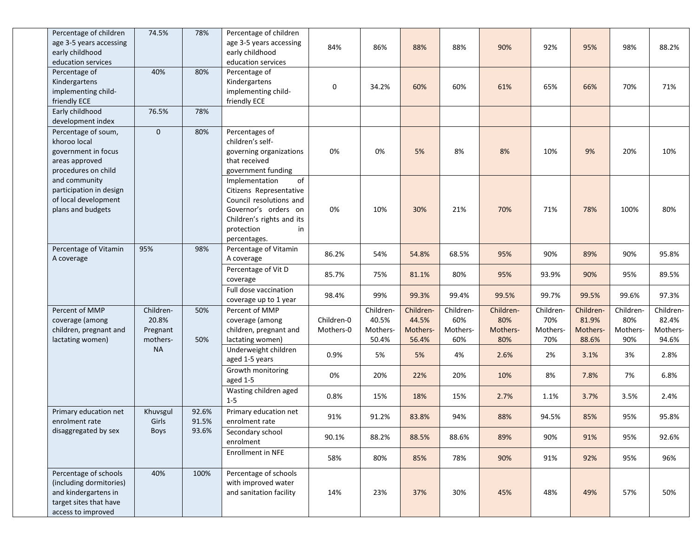| Percentage of children<br>age 3-5 years accessing<br>early childhood<br>education services                               | 74.5%                                      | 78%                     | Percentage of children<br>age 3-5 years accessing<br>early childhood<br>education services                                                                          | 84%                     | 86%                                     | 88%                                     | 88%                                 | 90%                                 | 92%                                 | 95%                                     | 98%                                 | 88.2%                                   |
|--------------------------------------------------------------------------------------------------------------------------|--------------------------------------------|-------------------------|---------------------------------------------------------------------------------------------------------------------------------------------------------------------|-------------------------|-----------------------------------------|-----------------------------------------|-------------------------------------|-------------------------------------|-------------------------------------|-----------------------------------------|-------------------------------------|-----------------------------------------|
| Percentage of<br>Kindergartens<br>implementing child-<br>friendly ECE                                                    | 40%                                        | 80%                     | Percentage of<br>Kindergartens<br>implementing child-<br>friendly ECE                                                                                               | 0                       | 34.2%                                   | 60%                                     | 60%                                 | 61%                                 | 65%                                 | 66%                                     | 70%                                 | 71%                                     |
| Early childhood<br>development index                                                                                     | 76.5%                                      | 78%                     |                                                                                                                                                                     |                         |                                         |                                         |                                     |                                     |                                     |                                         |                                     |                                         |
| Percentage of soum,<br>khoroo local<br>government in focus<br>areas approved<br>procedures on child                      | $\mathbf 0$                                | 80%                     | Percentages of<br>children's self-<br>governing organizations<br>that received<br>government funding                                                                | 0%                      | 0%                                      | 5%                                      | 8%                                  | 8%                                  | 10%                                 | 9%                                      | 20%                                 | 10%                                     |
| and community<br>participation in design<br>of local development<br>plans and budgets                                    |                                            |                         | of<br>Implementation<br>Citizens Representative<br>Council resolutions and<br>Governor's orders on<br>Children's rights and its<br>protection<br>in<br>percentages. | 0%                      | 10%                                     | 30%                                     | 21%                                 | 70%                                 | 71%                                 | 78%                                     | 100%                                | 80%                                     |
| Percentage of Vitamin<br>A coverage                                                                                      | 95%                                        | 98%                     | Percentage of Vitamin<br>A coverage                                                                                                                                 | 86.2%                   | 54%                                     | 54.8%                                   | 68.5%                               | 95%                                 | 90%                                 | 89%                                     | 90%                                 | 95.8%                                   |
|                                                                                                                          |                                            |                         | Percentage of Vit D<br>coverage                                                                                                                                     | 85.7%                   | 75%                                     | 81.1%                                   | 80%                                 | 95%                                 | 93.9%                               | 90%                                     | 95%                                 | 89.5%                                   |
|                                                                                                                          |                                            |                         | Full dose vaccination<br>coverage up to 1 year                                                                                                                      | 98.4%                   | 99%                                     | 99.3%                                   | 99.4%                               | 99.5%                               | 99.7%                               | 99.5%                                   | 99.6%                               | 97.3%                                   |
| Percent of MMP<br>coverage (among<br>children, pregnant and<br>lactating women)                                          | Children-<br>20.8%<br>Pregnant<br>mothers- | 50%<br>50%<br><b>NA</b> | Percent of MMP<br>coverage (among<br>children, pregnant and<br>lactating women)                                                                                     | Children-0<br>Mothers-0 | Children-<br>40.5%<br>Mothers-<br>50.4% | Children-<br>44.5%<br>Mothers-<br>56.4% | Children-<br>60%<br>Mothers-<br>60% | Children-<br>80%<br>Mothers-<br>80% | Children-<br>70%<br>Mothers-<br>70% | Children-<br>81.9%<br>Mothers-<br>88.6% | Children-<br>80%<br>Mothers-<br>90% | Children-<br>82.4%<br>Mothers-<br>94.6% |
|                                                                                                                          |                                            |                         | Underweight children<br>aged 1-5 years                                                                                                                              | 0.9%                    | 5%                                      | 5%                                      | 4%                                  | 2.6%                                | 2%                                  | 3.1%                                    | 3%                                  | 2.8%                                    |
|                                                                                                                          |                                            |                         | Growth monitoring<br>aged 1-5                                                                                                                                       | 0%                      | 20%                                     | 22%                                     | 20%                                 | 10%                                 | 8%                                  | 7.8%                                    | 7%                                  | 6.8%                                    |
|                                                                                                                          |                                            |                         | Wasting children aged<br>$1 - 5$                                                                                                                                    | 0.8%                    | 15%                                     | 18%                                     | 15%                                 | 2.7%                                | 1.1%                                | 3.7%                                    | 3.5%                                | 2.4%                                    |
| Primary education net<br>enrolment rate                                                                                  | Khuvsgul<br>Girls<br><b>Boys</b>           | 92.6%<br>91.5%<br>93.6% | Primary education net<br>enrolment rate                                                                                                                             | 91%                     | 91.2%                                   | 83.8%                                   | 94%                                 | 88%                                 | 94.5%                               | 85%                                     | 95%                                 | 95.8%                                   |
| disaggregated by sex                                                                                                     |                                            |                         | Secondary school<br>enrolment                                                                                                                                       | 90.1%                   | 88.2%                                   | 88.5%                                   | 88.6%                               | 89%                                 | 90%                                 | 91%                                     | 95%                                 | 92.6%                                   |
|                                                                                                                          |                                            |                         | <b>Enrollment in NFE</b>                                                                                                                                            | 58%                     | 80%                                     | 85%                                     | 78%                                 | 90%                                 | 91%                                 | 92%                                     | 95%                                 | 96%                                     |
| Percentage of schools<br>(including dormitories)<br>and kindergartens in<br>target sites that have<br>access to improved | 40%                                        | 100%                    | Percentage of schools<br>with improved water<br>and sanitation facility                                                                                             | 14%                     | 23%                                     | 37%                                     | 30%                                 | 45%                                 | 48%                                 | 49%                                     | 57%                                 | 50%                                     |